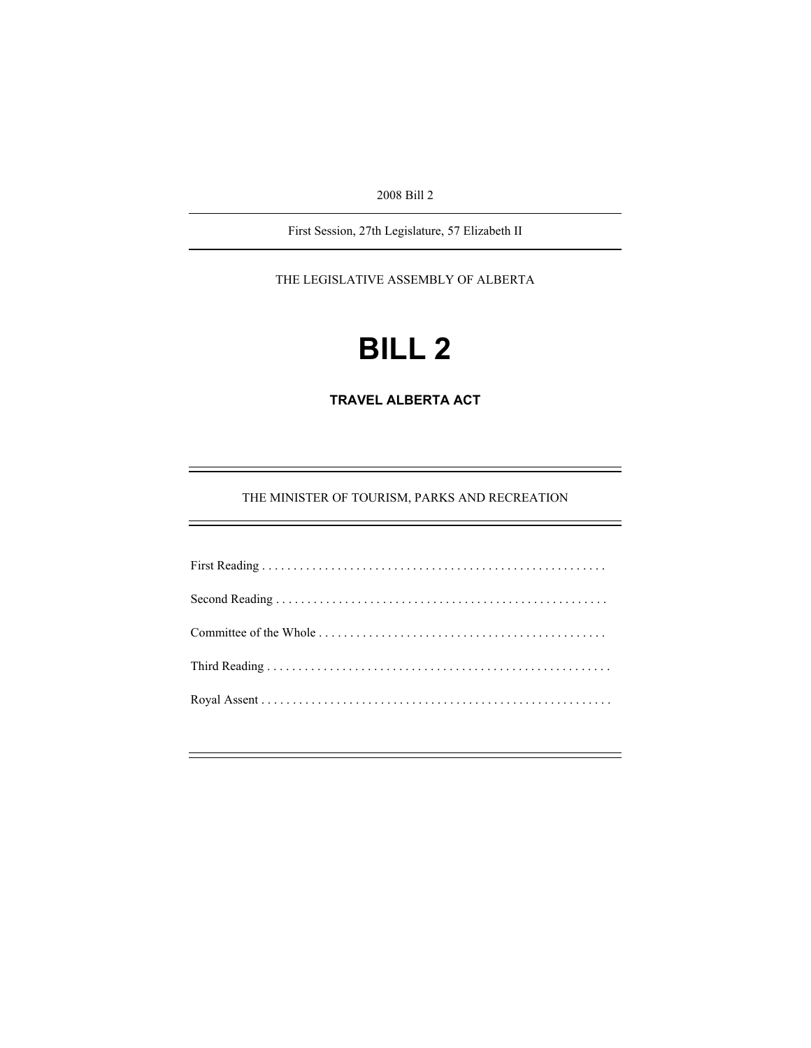2008 Bill 2

First Session, 27th Legislature, 57 Elizabeth II

THE LEGISLATIVE ASSEMBLY OF ALBERTA

# **BILL 2**

**TRAVEL ALBERTA ACT** 

THE MINISTER OF TOURISM, PARKS AND RECREATION

e<br>H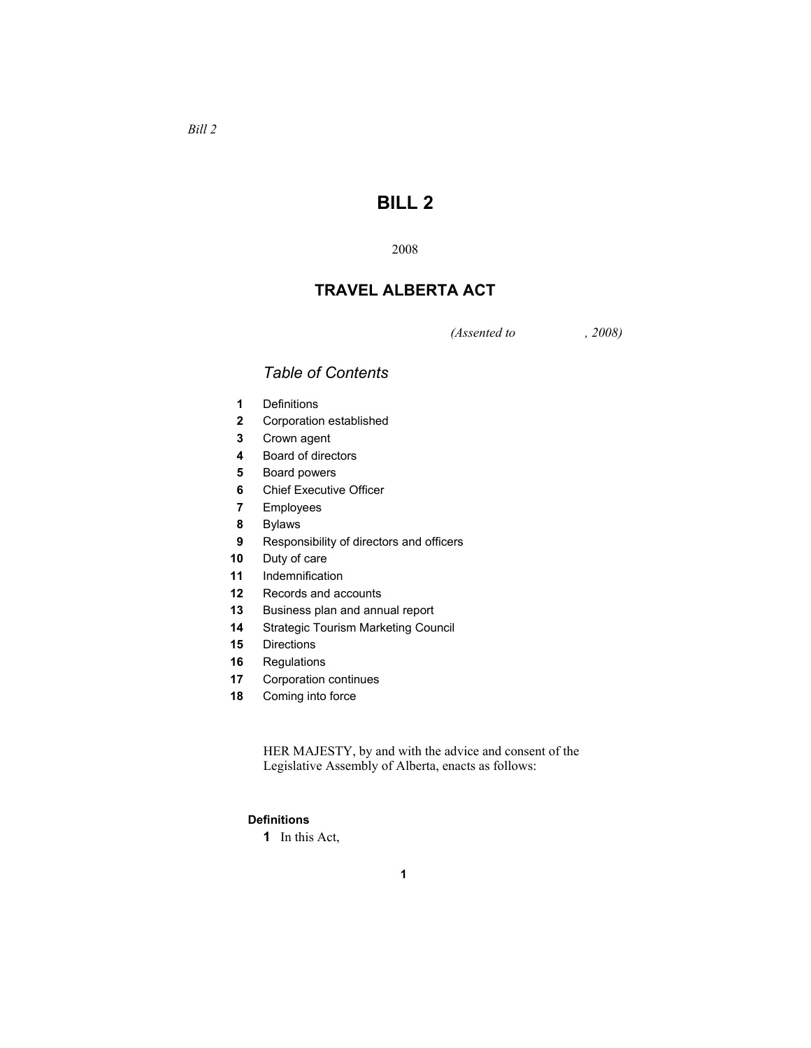# **BILL 2**

# **TRAVEL ALBERTA ACT**

*(Assented to , 2008)* 

# *Table of Contents*

- Definitions
- Corporation established
- Crown agent
- Board of directors
- Board powers
- Chief Executive Officer
- Employees
- Bylaws
- Responsibility of directors and officers
- Duty of care
- Indemnification
- Records and accounts
- Business plan and annual report
- Strategic Tourism Marketing Council
- Directions
- Regulations
- Corporation continues
- Coming into force

HER MAJESTY, by and with the advice and consent of the Legislative Assembly of Alberta, enacts as follows:

# **Definitions**

In this Act,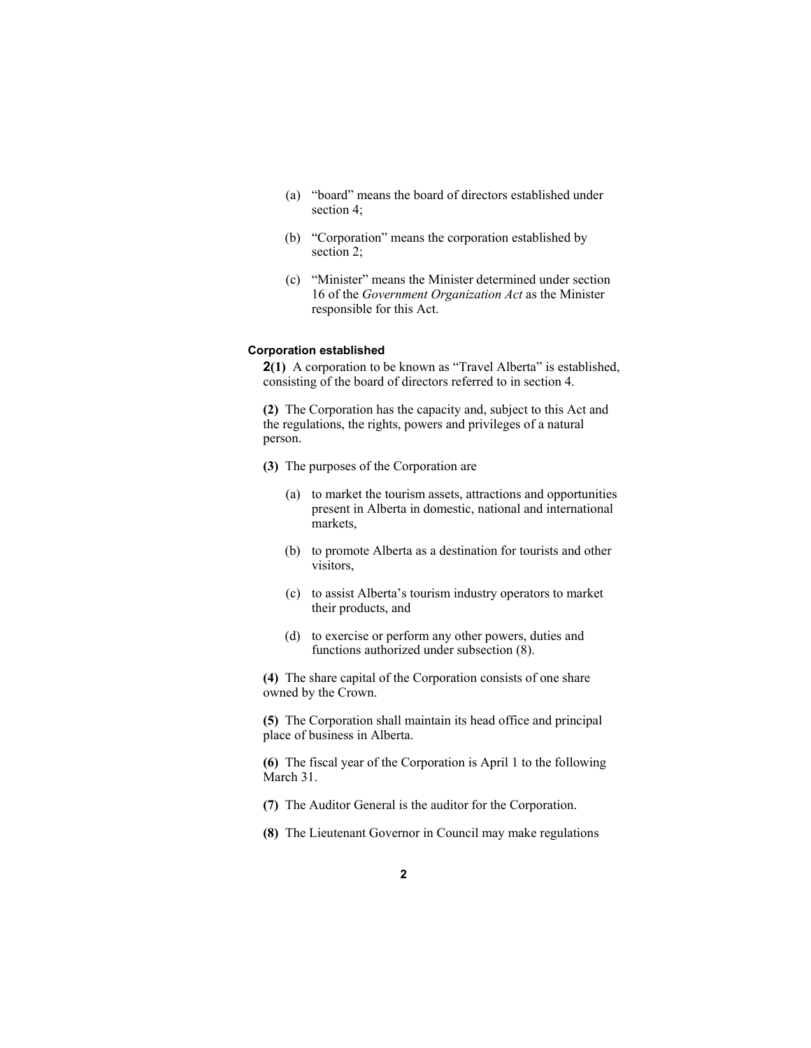- (a) "board" means the board of directors established under section 4;
- (b) "Corporation" means the corporation established by section 2;
- (c) "Minister" means the Minister determined under section 16 of the *Government Organization Act* as the Minister responsible for this Act.

# **Corporation established**

**2(1)** A corporation to be known as "Travel Alberta" is established, consisting of the board of directors referred to in section 4.

**(2)** The Corporation has the capacity and, subject to this Act and the regulations, the rights, powers and privileges of a natural person.

- **(3)** The purposes of the Corporation are
	- (a) to market the tourism assets, attractions and opportunities present in Alberta in domestic, national and international markets,
	- (b) to promote Alberta as a destination for tourists and other visitors,
	- (c) to assist Alberta's tourism industry operators to market their products, and
	- (d) to exercise or perform any other powers, duties and functions authorized under subsection (8).

**(4)** The share capital of the Corporation consists of one share owned by the Crown.

**(5)** The Corporation shall maintain its head office and principal place of business in Alberta.

**(6)** The fiscal year of the Corporation is April 1 to the following March 31.

**(7)** The Auditor General is the auditor for the Corporation.

**(8)** The Lieutenant Governor in Council may make regulations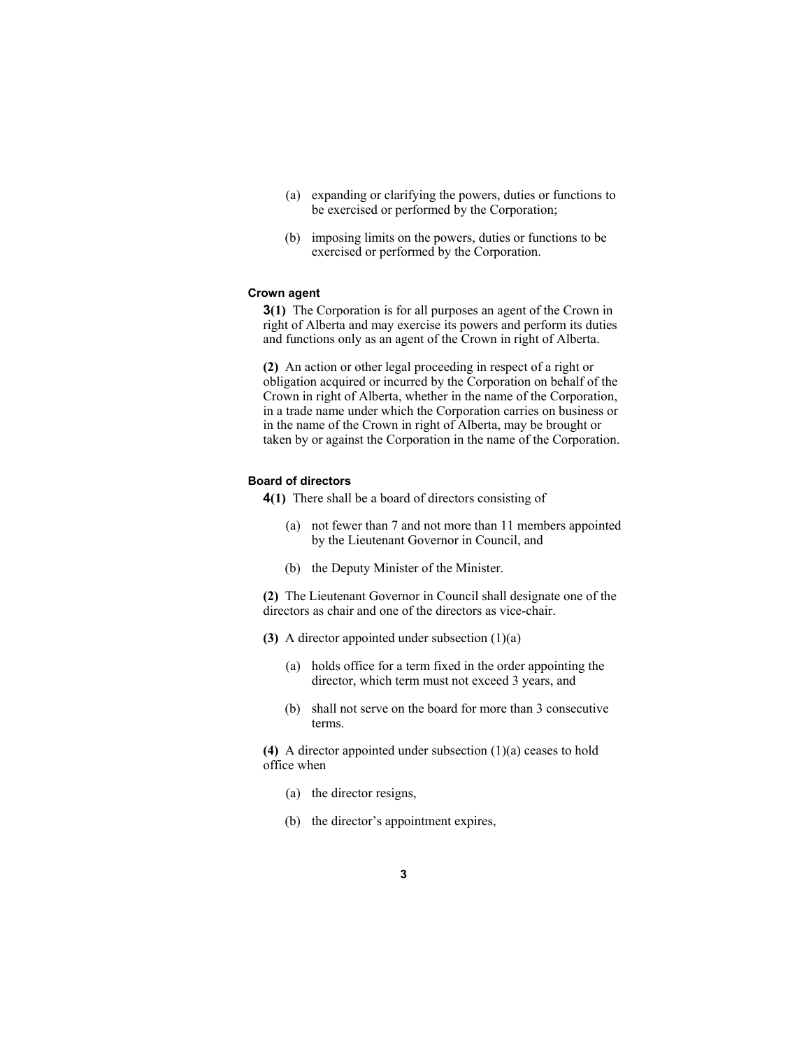- (a) expanding or clarifying the powers, duties or functions to be exercised or performed by the Corporation;
- (b) imposing limits on the powers, duties or functions to be exercised or performed by the Corporation.

#### **Crown agent**

**3(1)** The Corporation is for all purposes an agent of the Crown in right of Alberta and may exercise its powers and perform its duties and functions only as an agent of the Crown in right of Alberta.

**(2)** An action or other legal proceeding in respect of a right or obligation acquired or incurred by the Corporation on behalf of the Crown in right of Alberta, whether in the name of the Corporation, in a trade name under which the Corporation carries on business or in the name of the Crown in right of Alberta, may be brought or taken by or against the Corporation in the name of the Corporation.

## **Board of directors**

**4(1)** There shall be a board of directors consisting of

- (a) not fewer than 7 and not more than 11 members appointed by the Lieutenant Governor in Council, and
- (b) the Deputy Minister of the Minister.

**(2)** The Lieutenant Governor in Council shall designate one of the directors as chair and one of the directors as vice-chair.

- **(3)** A director appointed under subsection (1)(a)
	- (a) holds office for a term fixed in the order appointing the director, which term must not exceed 3 years, and
	- (b) shall not serve on the board for more than 3 consecutive terms.

**(4)** A director appointed under subsection (1)(a) ceases to hold office when

- (a) the director resigns,
- (b) the director's appointment expires,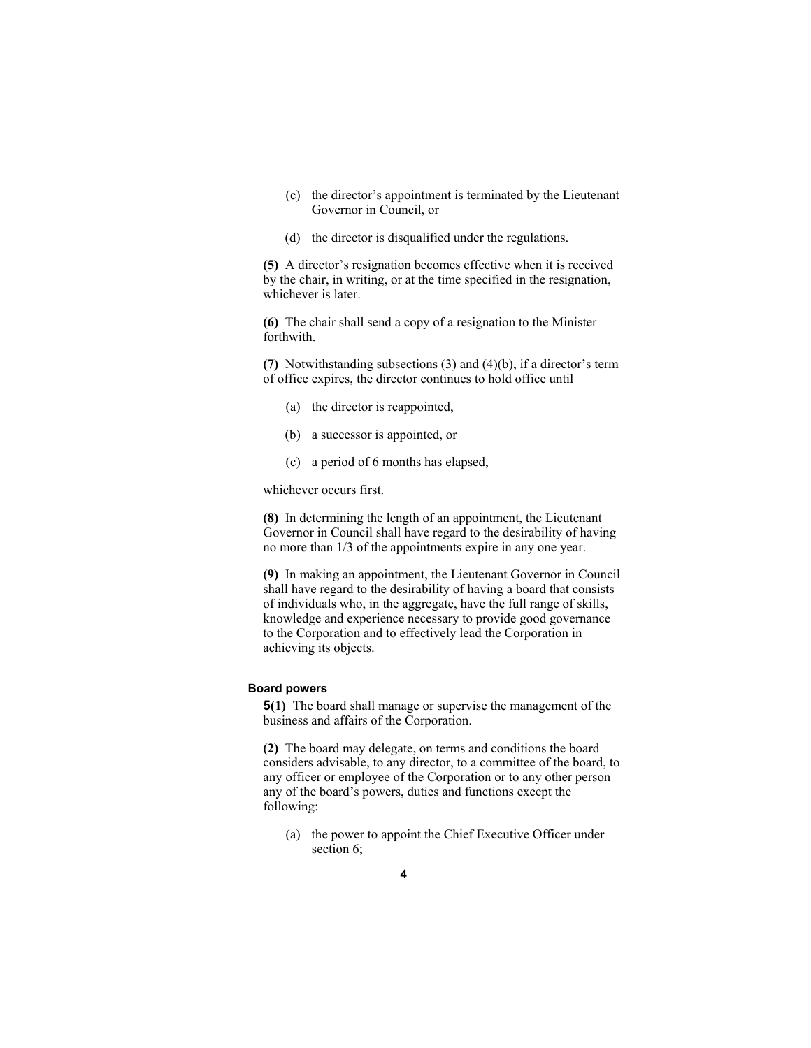- (c) the director's appointment is terminated by the Lieutenant Governor in Council, or
- (d) the director is disqualified under the regulations.

**(5)** A director's resignation becomes effective when it is received by the chair, in writing, or at the time specified in the resignation, whichever is later.

**(6)** The chair shall send a copy of a resignation to the Minister forthwith.

**(7)** Notwithstanding subsections (3) and (4)(b), if a director's term of office expires, the director continues to hold office until

- (a) the director is reappointed,
- (b) a successor is appointed, or
- (c) a period of 6 months has elapsed,

whichever occurs first.

**(8)** In determining the length of an appointment, the Lieutenant Governor in Council shall have regard to the desirability of having no more than 1/3 of the appointments expire in any one year.

**(9)** In making an appointment, the Lieutenant Governor in Council shall have regard to the desirability of having a board that consists of individuals who, in the aggregate, have the full range of skills, knowledge and experience necessary to provide good governance to the Corporation and to effectively lead the Corporation in achieving its objects.

# **Board powers**

**5(1)** The board shall manage or supervise the management of the business and affairs of the Corporation.

**(2)** The board may delegate, on terms and conditions the board considers advisable, to any director, to a committee of the board, to any officer or employee of the Corporation or to any other person any of the board's powers, duties and functions except the following:

(a) the power to appoint the Chief Executive Officer under section 6;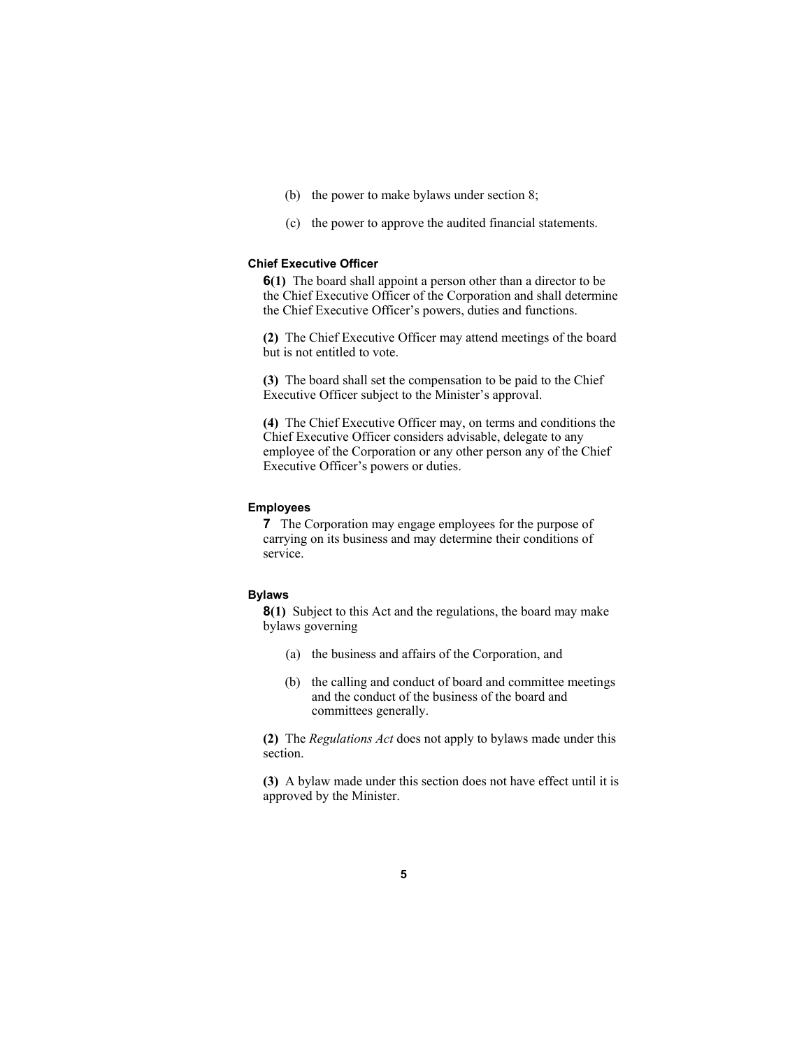- (b) the power to make bylaws under section 8;
- (c) the power to approve the audited financial statements.

# **Chief Executive Officer**

**6(1)** The board shall appoint a person other than a director to be the Chief Executive Officer of the Corporation and shall determine the Chief Executive Officer's powers, duties and functions.

**(2)** The Chief Executive Officer may attend meetings of the board but is not entitled to vote.

**(3)** The board shall set the compensation to be paid to the Chief Executive Officer subject to the Minister's approval.

**(4)** The Chief Executive Officer may, on terms and conditions the Chief Executive Officer considers advisable, delegate to any employee of the Corporation or any other person any of the Chief Executive Officer's powers or duties.

# **Employees**

**7** The Corporation may engage employees for the purpose of carrying on its business and may determine their conditions of service.

#### **Bylaws**

**8(1)** Subject to this Act and the regulations, the board may make bylaws governing

- (a) the business and affairs of the Corporation, and
- (b) the calling and conduct of board and committee meetings and the conduct of the business of the board and committees generally.

**(2)** The *Regulations Act* does not apply to bylaws made under this section.

**(3)** A bylaw made under this section does not have effect until it is approved by the Minister.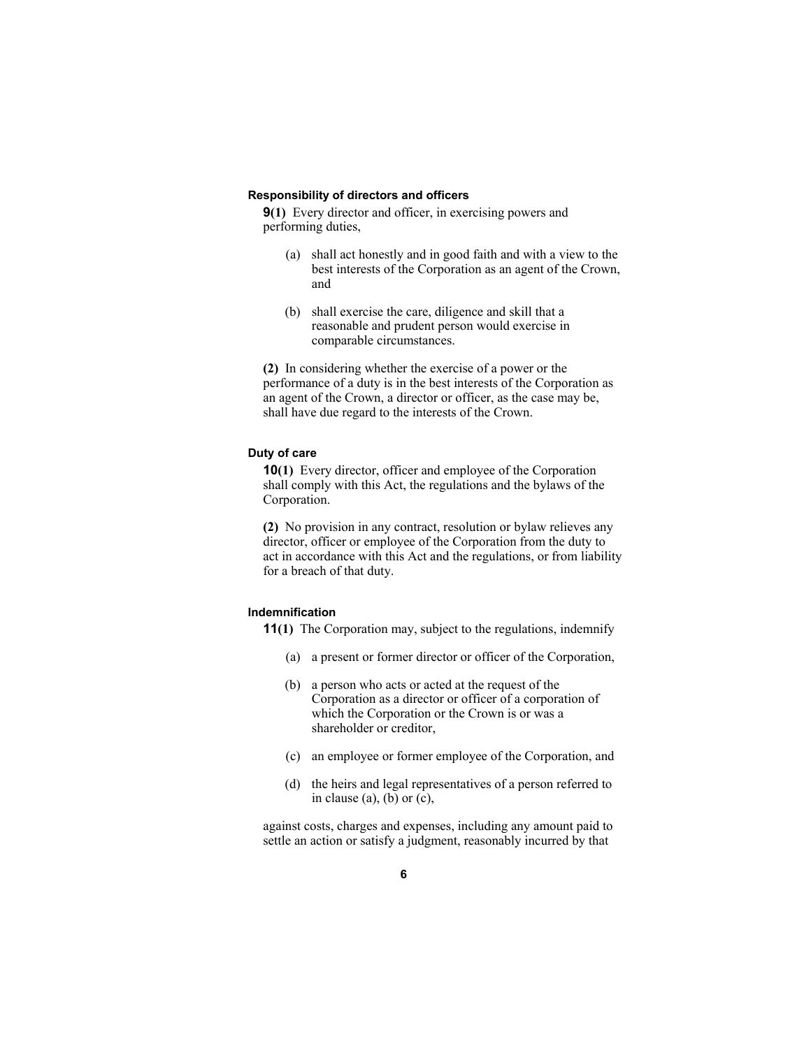#### **Responsibility of directors and officers**

**9(1)** Every director and officer, in exercising powers and performing duties,

- (a) shall act honestly and in good faith and with a view to the best interests of the Corporation as an agent of the Crown, and
- (b) shall exercise the care, diligence and skill that a reasonable and prudent person would exercise in comparable circumstances.

**(2)** In considering whether the exercise of a power or the performance of a duty is in the best interests of the Corporation as an agent of the Crown, a director or officer, as the case may be, shall have due regard to the interests of the Crown.

## **Duty of care**

**10(1)** Every director, officer and employee of the Corporation shall comply with this Act, the regulations and the bylaws of the Corporation.

**(2)** No provision in any contract, resolution or bylaw relieves any director, officer or employee of the Corporation from the duty to act in accordance with this Act and the regulations, or from liability for a breach of that duty.

# **Indemnification**

**11(1)** The Corporation may, subject to the regulations, indemnify

- (a) a present or former director or officer of the Corporation,
- (b) a person who acts or acted at the request of the Corporation as a director or officer of a corporation of which the Corporation or the Crown is or was a shareholder or creditor,
- (c) an employee or former employee of the Corporation, and
- (d) the heirs and legal representatives of a person referred to in clause  $(a)$ ,  $(b)$  or  $(c)$ ,

against costs, charges and expenses, including any amount paid to settle an action or satisfy a judgment, reasonably incurred by that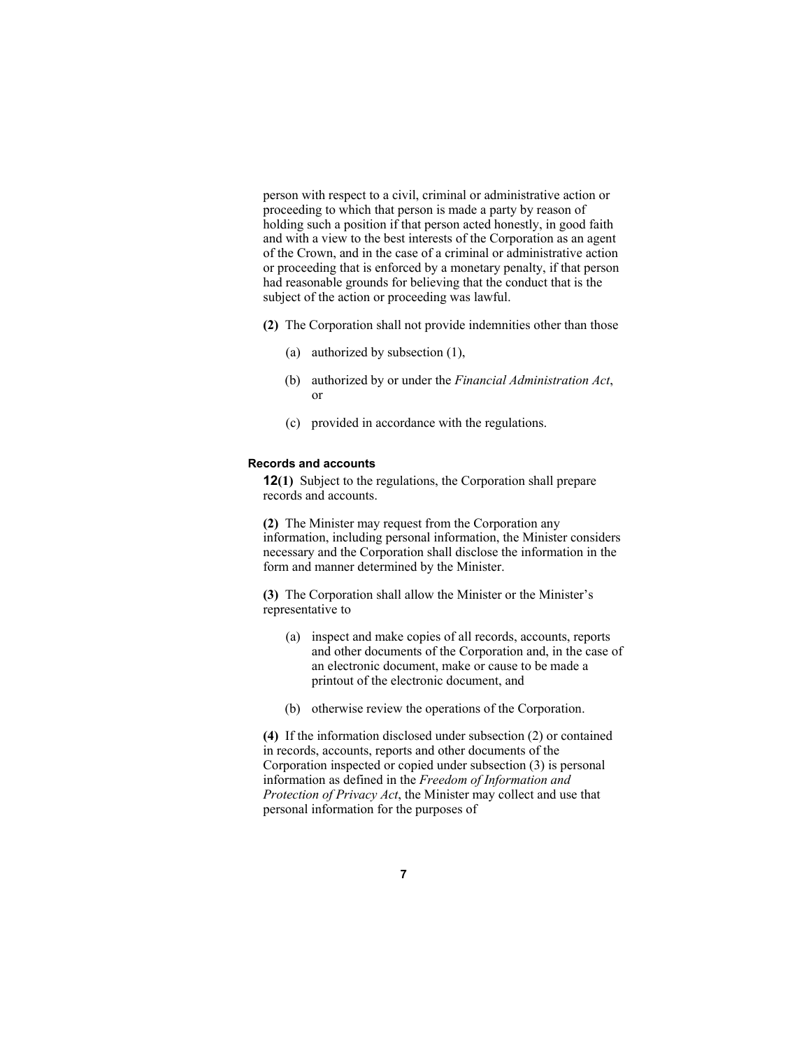person with respect to a civil, criminal or administrative action or proceeding to which that person is made a party by reason of holding such a position if that person acted honestly, in good faith and with a view to the best interests of the Corporation as an agent of the Crown, and in the case of a criminal or administrative action or proceeding that is enforced by a monetary penalty, if that person had reasonable grounds for believing that the conduct that is the subject of the action or proceeding was lawful.

- **(2)** The Corporation shall not provide indemnities other than those
	- (a) authorized by subsection (1),
	- (b) authorized by or under the *Financial Administration Act*, or
	- (c) provided in accordance with the regulations.

#### **Records and accounts**

**12(1)** Subject to the regulations, the Corporation shall prepare records and accounts.

**(2)** The Minister may request from the Corporation any information, including personal information, the Minister considers necessary and the Corporation shall disclose the information in the form and manner determined by the Minister.

**(3)** The Corporation shall allow the Minister or the Minister's representative to

- (a) inspect and make copies of all records, accounts, reports and other documents of the Corporation and, in the case of an electronic document, make or cause to be made a printout of the electronic document, and
- (b) otherwise review the operations of the Corporation.

**(4)** If the information disclosed under subsection (2) or contained in records, accounts, reports and other documents of the Corporation inspected or copied under subsection (3) is personal information as defined in the *Freedom of Information and Protection of Privacy Act*, the Minister may collect and use that personal information for the purposes of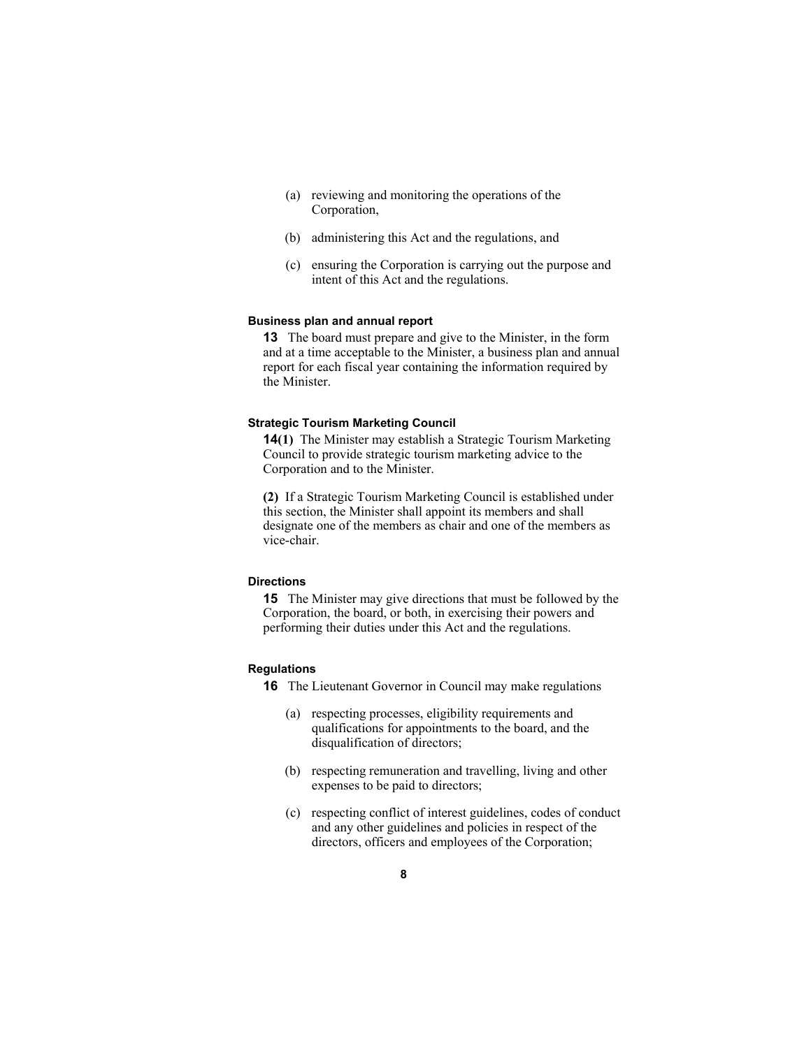- (a) reviewing and monitoring the operations of the Corporation,
- (b) administering this Act and the regulations, and
- (c) ensuring the Corporation is carrying out the purpose and intent of this Act and the regulations.

#### **Business plan and annual report**

**13** The board must prepare and give to the Minister, in the form and at a time acceptable to the Minister, a business plan and annual report for each fiscal year containing the information required by the Minister.

#### **Strategic Tourism Marketing Council**

**14(1)** The Minister may establish a Strategic Tourism Marketing Council to provide strategic tourism marketing advice to the Corporation and to the Minister.

**(2)** If a Strategic Tourism Marketing Council is established under this section, the Minister shall appoint its members and shall designate one of the members as chair and one of the members as vice-chair.

# **Directions**

**15** The Minister may give directions that must be followed by the Corporation, the board, or both, in exercising their powers and performing their duties under this Act and the regulations.

# **Regulations**

**16** The Lieutenant Governor in Council may make regulations

- (a) respecting processes, eligibility requirements and qualifications for appointments to the board, and the disqualification of directors;
- (b) respecting remuneration and travelling, living and other expenses to be paid to directors;
- (c) respecting conflict of interest guidelines, codes of conduct and any other guidelines and policies in respect of the directors, officers and employees of the Corporation;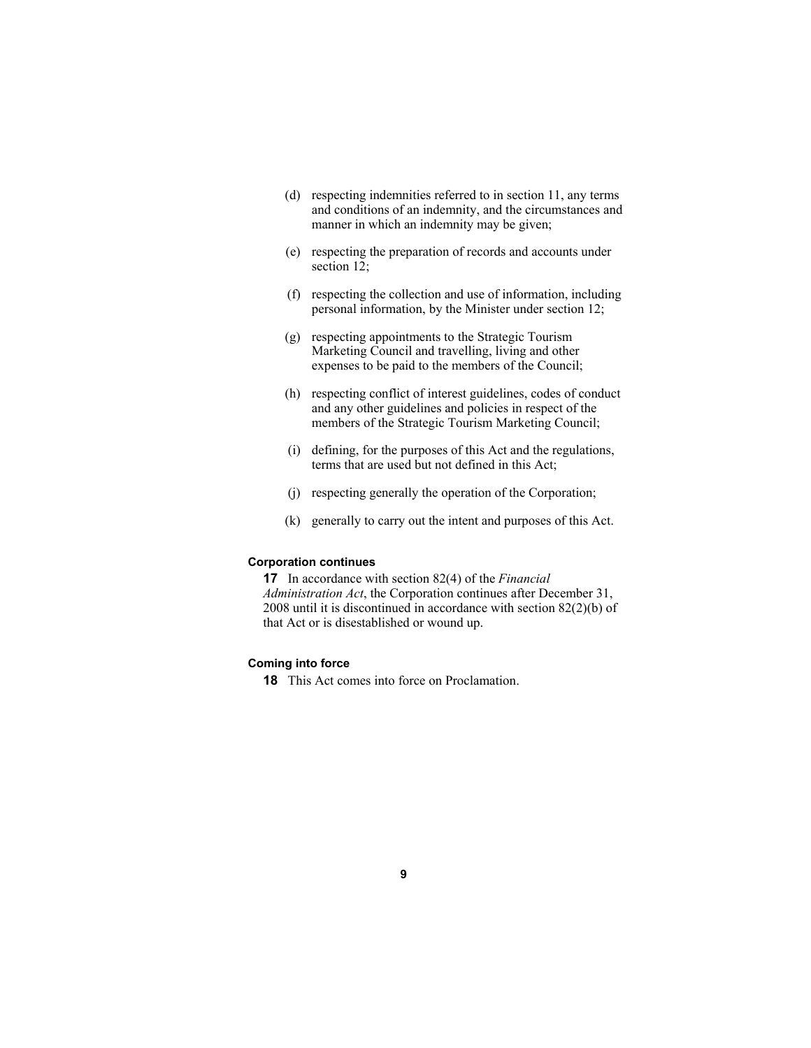- (d) respecting indemnities referred to in section 11, any terms and conditions of an indemnity, and the circumstances and manner in which an indemnity may be given;
- (e) respecting the preparation of records and accounts under section 12;
- (f) respecting the collection and use of information, including personal information, by the Minister under section 12;
- (g) respecting appointments to the Strategic Tourism Marketing Council and travelling, living and other expenses to be paid to the members of the Council;
- (h) respecting conflict of interest guidelines, codes of conduct and any other guidelines and policies in respect of the members of the Strategic Tourism Marketing Council;
- (i) defining, for the purposes of this Act and the regulations, terms that are used but not defined in this Act;
- (j) respecting generally the operation of the Corporation;
- (k) generally to carry out the intent and purposes of this Act.

#### **Corporation continues**

**17** In accordance with section 82(4) of the *Financial Administration Act*, the Corporation continues after December 31, 2008 until it is discontinued in accordance with section 82(2)(b) of that Act or is disestablished or wound up.

# **Coming into force**

**18** This Act comes into force on Proclamation.